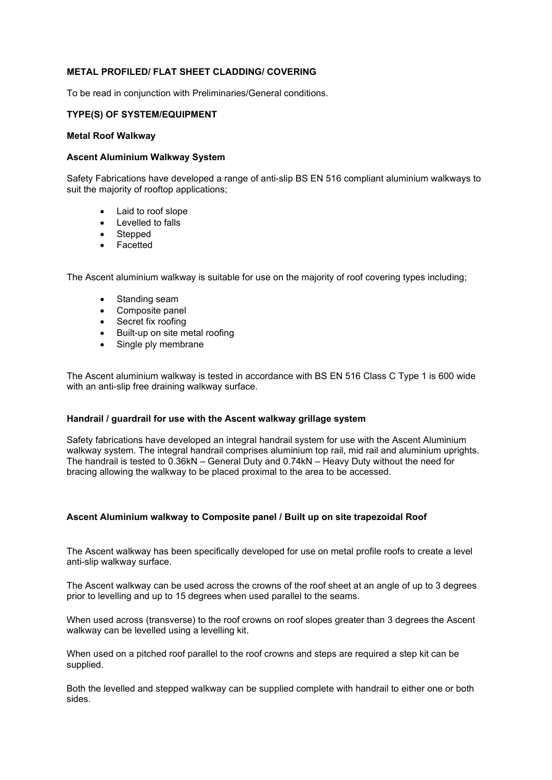# **METAL PROFILED/ FLAT SHEET CLADDING/ COVERING**

To be read in conjunction with Preliminaries/General conditions.

#### **TYPE(S) OF SYSTEM/EQUIPMENT**

#### **Metal Roof Walkway**

### **Ascent Aluminium Walkway System**

Safety Fabrications have developed a range of anti-slip BS EN 516 compliant aluminium walkways to suit the majority of rooftop applications;

- Laid to roof slope
- Levelled to falls
- Stepped
- **Facetted**

The Ascent aluminium walkway is suitable for use on the majority of roof covering types including;

- Standing seam
- Composite panel
- Secret fix roofing
- Built-up on site metal roofing
- Single ply membrane

The Ascent aluminium walkway is tested in accordance with BS EN 516 Class C Type 1 is 600 wide with an anti-slip free draining walkway surface.

#### **Handrail / guardrail for use with the Ascent walkway grillage system**

Safety fabrications have developed an integral handrail system for use with the Ascent Aluminium walkway system. The integral handrail comprises aluminium top rail, mid rail and aluminium uprights. The handrail is tested to 0.36kN – General Duty and 0.74kN – Heavy Duty without the need for bracing allowing the walkway to be placed proximal to the area to be accessed.

#### **Ascent Aluminium walkway to Composite panel / Built up on site trapezoidal Roof**

The Ascent walkway has been specifically developed for use on metal profile roofs to create a level anti-slip walkway surface.

The Ascent walkway can be used across the crowns of the roof sheet at an angle of up to 3 degrees prior to levelling and up to 15 degrees when used parallel to the seams.

When used across (transverse) to the roof crowns on roof slopes greater than 3 degrees the Ascent walkway can be levelled using a levelling kit.

When used on a pitched roof parallel to the roof crowns and steps are required a step kit can be supplied.

Both the levelled and stepped walkway can be supplied complete with handrail to either one or both sides.